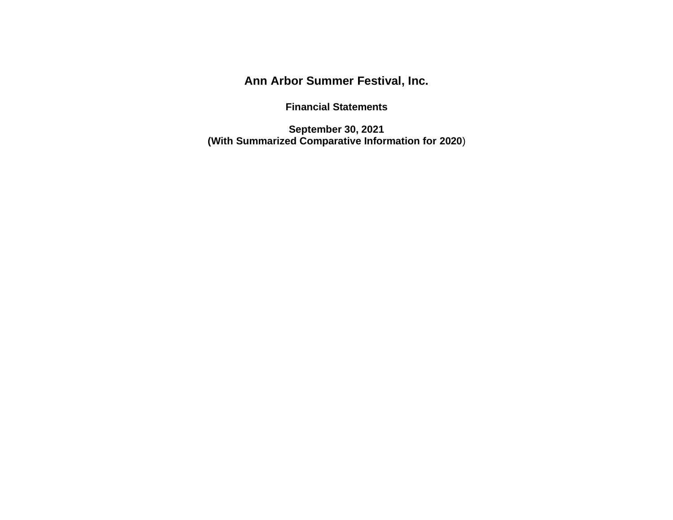**Ann Arbor Summer Festival, Inc.**

**Financial Statements**

**September 30, 2021 (With Summarized Comparative Information for 2020**)

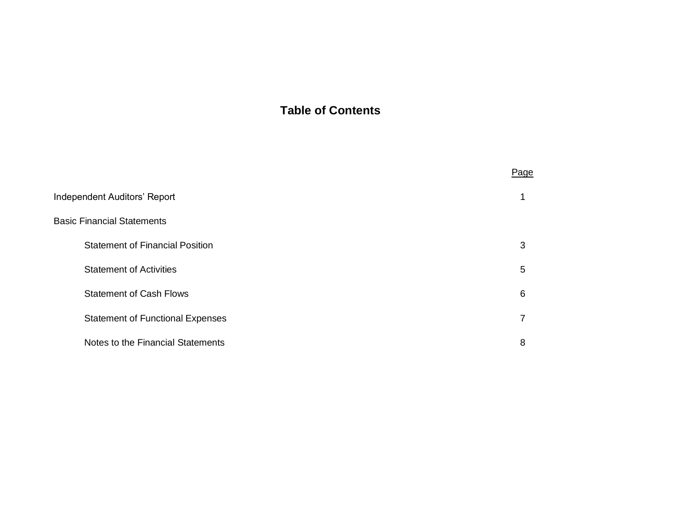# **Table of Contents**

|                                         | Page |
|-----------------------------------------|------|
| <b>Independent Auditors' Report</b>     | 1    |
| <b>Basic Financial Statements</b>       |      |
| <b>Statement of Financial Position</b>  | 3    |
| <b>Statement of Activities</b>          | 5    |
| <b>Statement of Cash Flows</b>          | 6    |
| <b>Statement of Functional Expenses</b> | 7    |
| Notes to the Financial Statements       | 8    |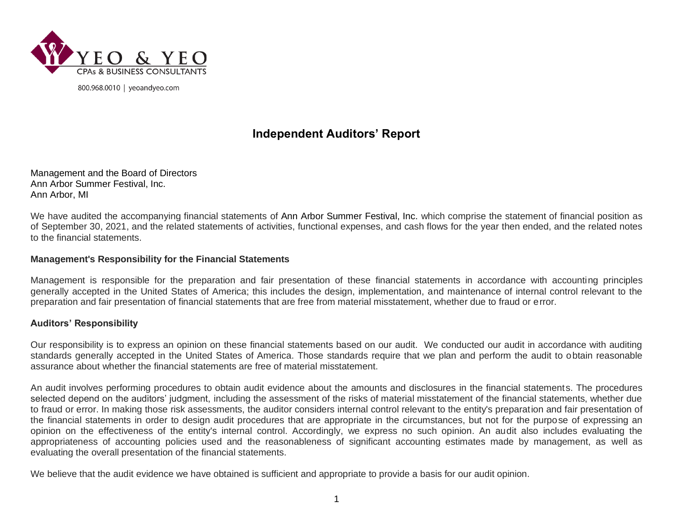

800.968.0010 | yeoandyeo.com

# **Independent Auditors' Report**

Management and the Board of Directors Ann Arbor Summer Festival, Inc. Ann Arbor, MI

We have audited the accompanying financial statements of Ann Arbor Summer Festival, Inc. which comprise the statement of financial position as of September 30, 2021, and the related statements of activities, functional expenses, and cash flows for the year then ended, and the related notes to the financial statements.

#### **Management's Responsibility for the Financial Statements**

Management is responsible for the preparation and fair presentation of these financial statements in accordance with accounting principles generally accepted in the United States of America; this includes the design, implementation, and maintenance of internal control relevant to the preparation and fair presentation of financial statements that are free from material misstatement, whether due to fraud or error.

#### **Auditors' Responsibility**

Our responsibility is to express an opinion on these financial statements based on our audit. We conducted our audit in accordance with auditing standards generally accepted in the United States of America. Those standards require that we plan and perform the audit to obtain reasonable assurance about whether the financial statements are free of material misstatement.

An audit involves performing procedures to obtain audit evidence about the amounts and disclosures in the financial statements. The procedures selected depend on the auditors' judgment, including the assessment of the risks of material misstatement of the financial statements, whether due to fraud or error. In making those risk assessments, the auditor considers internal control relevant to the entity's preparation and fair presentation of the financial statements in order to design audit procedures that are appropriate in the circumstances, but not for the purpose of expressing an opinion on the effectiveness of the entity's internal control. Accordingly, we express no such opinion. An audit also includes evaluating the appropriateness of accounting policies used and the reasonableness of significant accounting estimates made by management, as well as evaluating the overall presentation of the financial statements.

We believe that the audit evidence we have obtained is sufficient and appropriate to provide a basis for our audit opinion.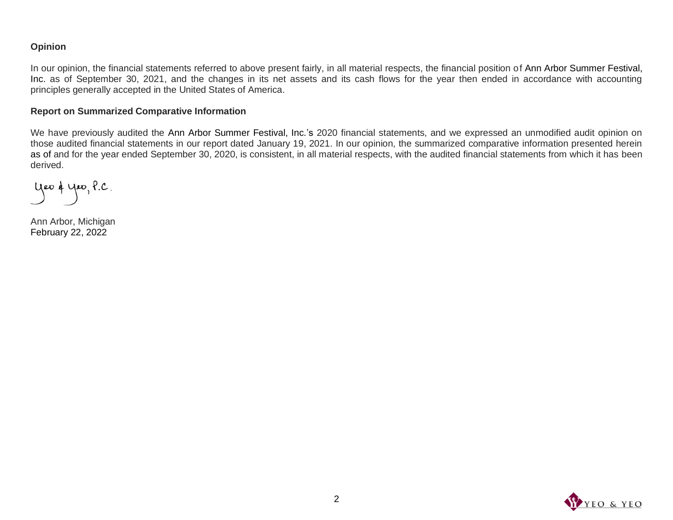### **Opinion**

In our opinion, the financial statements referred to above present fairly, in all material respects, the financial position of Ann Arbor Summer Festival, Inc. as of September 30, 2021, and the changes in its net assets and its cash flows for the year then ended in accordance with accounting principles generally accepted in the United States of America.

#### **Report on Summarized Comparative Information**

We have previously audited the Ann Arbor Summer Festival, Inc.'s 2020 financial statements, and we expressed an unmodified audit opinion on those audited financial statements in our report dated January 19, 2021. In our opinion, the summarized comparative information presented herein as of and for the year ended September 30, 2020, is consistent, in all material respects, with the audited financial statements from which it has been derived.

yeo & yeo, P.C.

Ann Arbor, Michigan February 22, 2022

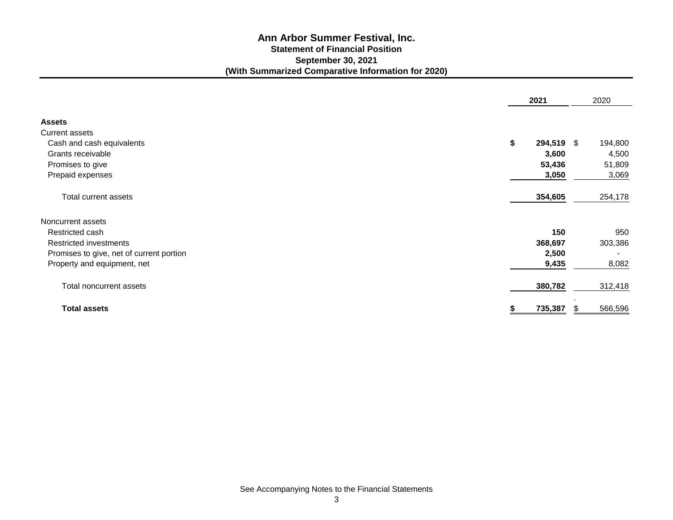#### **Ann Arbor Summer Festival, Inc. Statement of Financial Position (With Summarized Comparative Information for 2020) September 30, 2021**

|                                          |    | 2021       | 2020 |                          |
|------------------------------------------|----|------------|------|--------------------------|
| <b>Assets</b>                            |    |            |      |                          |
| <b>Current assets</b>                    |    |            |      |                          |
| Cash and cash equivalents                | \$ | 294,519 \$ |      | 194,800                  |
| Grants receivable                        |    | 3,600      |      | 4,500                    |
| Promises to give                         |    | 53,436     |      | 51,809                   |
| Prepaid expenses                         |    | 3,050      |      | 3,069                    |
| Total current assets                     |    | 354,605    |      | 254,178                  |
| Noncurrent assets                        |    |            |      |                          |
| Restricted cash                          |    | 150        |      | 950                      |
| <b>Restricted investments</b>            |    | 368,697    |      | 303,386                  |
| Promises to give, net of current portion |    | 2,500      |      | $\overline{\phantom{0}}$ |
| Property and equipment, net              |    | 9,435      |      | 8,082                    |
| Total noncurrent assets                  |    | 380,782    |      | 312,418                  |
| <b>Total assets</b>                      |    | 735,387    |      | 566,596                  |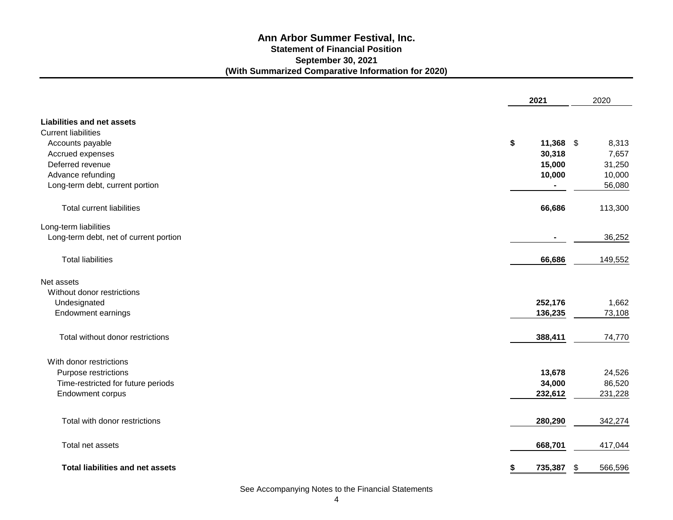### **Ann Arbor Summer Festival, Inc. Statement of Financial Position (With Summarized Comparative Information for 2020) September 30, 2021**

|                                         | 2021              | 2020          |  |
|-----------------------------------------|-------------------|---------------|--|
| <b>Liabilities and net assets</b>       |                   |               |  |
| <b>Current liabilities</b>              |                   |               |  |
| Accounts payable                        | \$<br>$11,368$ \$ | 8,313         |  |
| Accrued expenses                        | 30,318            | 7,657         |  |
| Deferred revenue                        | 15,000            | 31,250        |  |
| Advance refunding                       | 10,000            | 10,000        |  |
| Long-term debt, current portion         | ۰                 | 56,080        |  |
| <b>Total current liabilities</b>        | 66,686            | 113,300       |  |
| Long-term liabilities                   |                   |               |  |
| Long-term debt, net of current portion  | ٠                 | 36,252        |  |
| <b>Total liabilities</b>                | 66,686            | 149,552       |  |
| Net assets                              |                   |               |  |
| Without donor restrictions              |                   |               |  |
| Undesignated                            | 252,176           | 1,662         |  |
| Endowment earnings                      | 136,235           | 73,108        |  |
| Total without donor restrictions        | 388,411           | 74,770        |  |
| With donor restrictions                 |                   |               |  |
| Purpose restrictions                    | 13,678            | 24,526        |  |
| Time-restricted for future periods      | 34,000            | 86,520        |  |
| Endowment corpus                        | 232,612           | 231,228       |  |
| Total with donor restrictions           | 280,290           | 342,274       |  |
| Total net assets                        | 668,701           | 417,044       |  |
| <b>Total liabilities and net assets</b> | 735,387<br>\$     | 566,596<br>\$ |  |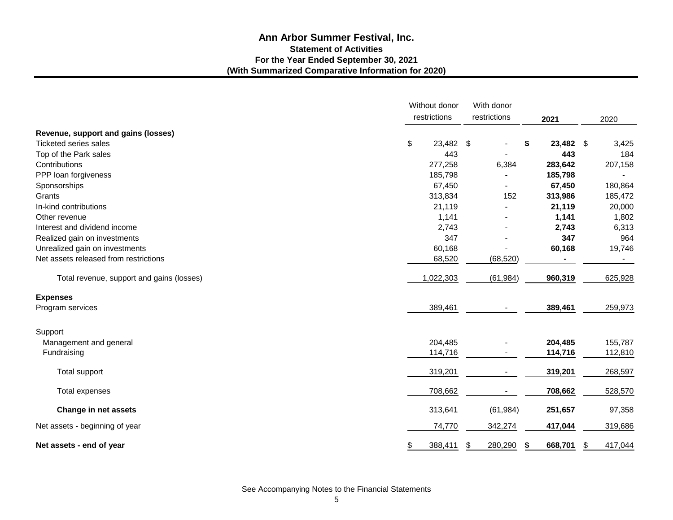### **Ann Arbor Summer Festival, Inc. Statement of Activities (With Summarized Comparative Information for 2020) For the Year Ended September 30, 2021**

|                                           | Without donor<br>restrictions | With donor<br>restrictions | 2021            | 2020          |
|-------------------------------------------|-------------------------------|----------------------------|-----------------|---------------|
| Revenue, support and gains (losses)       |                               |                            |                 |               |
| <b>Ticketed series sales</b>              | \$<br>23,482 \$               |                            | 23,482 \$<br>\$ | 3,425         |
| Top of the Park sales                     | 443                           |                            | 443             | 184           |
| Contributions                             | 277,258                       | 6,384                      | 283,642         | 207,158       |
| PPP loan forgiveness                      | 185,798                       |                            | 185,798         |               |
| Sponsorships                              | 67,450                        |                            | 67,450          | 180,864       |
| Grants                                    | 313,834                       | 152                        | 313,986         | 185,472       |
| In-kind contributions                     | 21,119                        |                            | 21,119          | 20,000        |
| Other revenue                             | 1,141                         |                            | 1,141           | 1,802         |
| Interest and dividend income              | 2,743                         |                            | 2,743           | 6,313         |
| Realized gain on investments              | 347                           |                            | 347             | 964           |
| Unrealized gain on investments            | 60,168                        |                            | 60,168          | 19,746        |
| Net assets released from restrictions     | 68,520                        | (68, 520)                  | ۰               |               |
| Total revenue, support and gains (losses) | 1,022,303                     | (61, 984)                  | 960,319         | 625,928       |
| <b>Expenses</b>                           |                               |                            |                 |               |
| Program services                          | 389,461                       |                            | 389,461         | 259,973       |
| Support                                   |                               |                            |                 |               |
| Management and general                    | 204,485                       |                            | 204,485         | 155,787       |
| Fundraising                               | 114,716                       |                            | 114,716         | 112,810       |
| Total support                             | 319,201                       |                            | 319,201         | 268,597       |
| Total expenses                            | 708,662                       |                            | 708,662         | 528,570       |
| Change in net assets                      | 313,641                       | (61, 984)                  | 251,657         | 97,358        |
| Net assets - beginning of year            | 74,770                        | 342,274                    | 417,044         | 319,686       |
| Net assets - end of year                  | 388,411<br>\$                 | 280,290<br>\$              | 668,701<br>S.   | 417,044<br>\$ |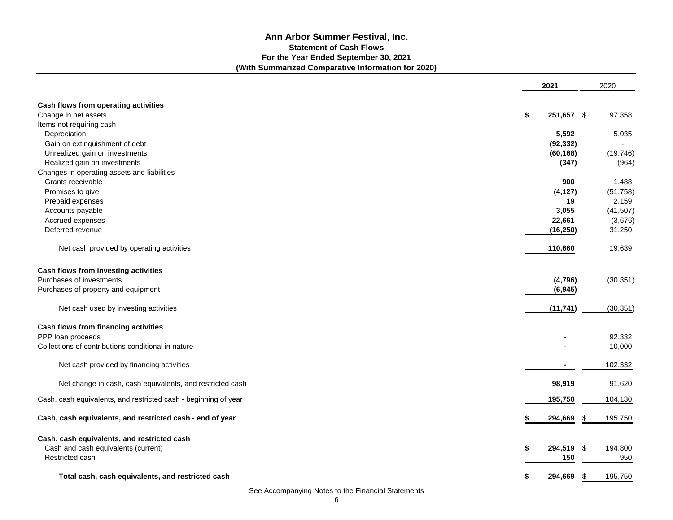#### **Ann Arbor Summer Festival, Inc. Statement of Cash Flows For the Year Ended September 30, 2021 (With Summarized Comparative Information for 2020)**

|                                                                 |                  | 2020          |  |
|-----------------------------------------------------------------|------------------|---------------|--|
| Cash flows from operating activities                            |                  |               |  |
| Change in net assets                                            | 251,657 \$<br>\$ | 97,358        |  |
| Items not requiring cash                                        |                  |               |  |
| Depreciation                                                    | 5,592            | 5,035         |  |
| Gain on extinguishment of debt                                  | (92, 332)        |               |  |
| Unrealized gain on investments                                  | (60, 168)        | (19, 746)     |  |
| Realized gain on investments                                    | (347)            | (964)         |  |
| Changes in operating assets and liabilities                     |                  |               |  |
| Grants receivable                                               | 900              | 1,488         |  |
| Promises to give                                                | (4, 127)         | (51, 758)     |  |
| Prepaid expenses                                                | 19               | 2,159         |  |
| Accounts payable                                                | 3,055            | (41, 507)     |  |
| Accrued expenses                                                | 22,661           | (3,676)       |  |
| Deferred revenue                                                | (16, 250)        | 31,250        |  |
| Net cash provided by operating activities                       | 110,660          | 19,639        |  |
| Cash flows from investing activities                            |                  |               |  |
| Purchases of investments                                        | (4,796)          | (30, 351)     |  |
| Purchases of property and equipment                             | (6, 945)         |               |  |
| Net cash used by investing activities                           | (11, 741)        | (30, 351)     |  |
| Cash flows from financing activities                            |                  |               |  |
| PPP loan proceeds                                               |                  | 92,332        |  |
| Collections of contributions conditional in nature              |                  | 10,000        |  |
| Net cash provided by financing activities                       |                  | 102,332       |  |
| Net change in cash, cash equivalents, and restricted cash       | 98,919           | 91,620        |  |
| Cash, cash equivalents, and restricted cash - beginning of year | 195,750          | 104,130       |  |
| Cash, cash equivalents, and restricted cash - end of year       | 294,669          | \$<br>195,750 |  |
| Cash, cash equivalents, and restricted cash                     |                  |               |  |
| Cash and cash equivalents (current)                             | 294,519 \$<br>S  | 194,800       |  |
| Restricted cash                                                 | 150              | 950           |  |
| Total cash, cash equivalents, and restricted cash               | 294,669<br>\$    | \$<br>195,750 |  |

See Accompanying Notes to the Financial Statements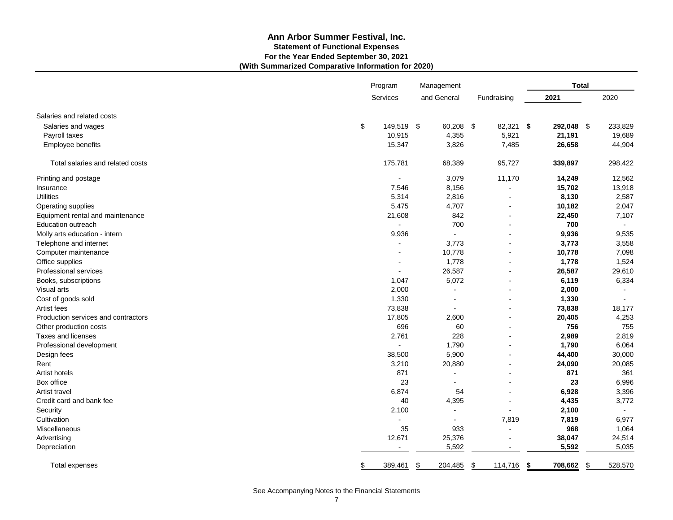#### **Ann Arbor Summer Festival, Inc. Statement of Functional Expenses (With Summarized Comparative Information for 2020) For the Year Ended September 30, 2021**

|                                     |          | Program<br>Management    |                    |                    |               | <b>Total</b> |                   |  |
|-------------------------------------|----------|--------------------------|--------------------|--------------------|---------------|--------------|-------------------|--|
|                                     | Services |                          | and General        | Fundraising        | 2021          |              | 2020              |  |
|                                     |          |                          |                    |                    |               |              |                   |  |
| Salaries and related costs          | \$       |                          |                    |                    |               |              |                   |  |
| Salaries and wages<br>Payroll taxes |          | 149,519 \$<br>10,915     | 60,208 \$<br>4,355 | 82,321 \$<br>5,921 | 21,191        | 292,048 \$   | 233,829<br>19,689 |  |
| <b>Employee benefits</b>            |          | 15,347                   | 3,826              | 7,485              |               | 26,658       | 44,904            |  |
|                                     |          |                          |                    |                    |               |              |                   |  |
| Total salaries and related costs    | 175,781  |                          | 68,389             | 95,727             | 339,897       |              | 298,422           |  |
| Printing and postage                |          |                          | 3,079              | 11,170             |               | 14,249       | 12,562            |  |
| Insurance                           |          | 7,546                    | 8,156              |                    |               | 15,702       | 13,918            |  |
| <b>Utilities</b>                    |          | 5,314                    | 2,816              |                    |               | 8,130        | 2,587             |  |
| Operating supplies                  |          | 5,475                    | 4,707              |                    |               | 10,182       | 2,047             |  |
| Equipment rental and maintenance    |          | 21,608                   | 842                |                    |               | 22,450       | 7,107             |  |
| <b>Education outreach</b>           |          | $\blacksquare$           | 700                |                    |               | 700          | $\sim$            |  |
| Molly arts education - intern       |          | 9,936                    |                    |                    |               | 9,936        | 9,535             |  |
| Telephone and internet              |          |                          | 3,773              |                    |               | 3,773        | 3,558             |  |
| Computer maintenance                |          |                          | 10,778             |                    |               | 10,778       | 7,098             |  |
| Office supplies                     |          |                          | 1,778              |                    |               | 1,778        | 1,524             |  |
| Professional services               |          | $\blacksquare$           | 26,587             |                    | 26,587        |              | 29,610            |  |
| Books, subscriptions                |          | 1,047                    | 5,072              |                    |               | 6,119        | 6,334             |  |
| Visual arts                         |          | 2,000                    |                    |                    |               | 2,000        | $\sim$            |  |
| Cost of goods sold                  |          | 1,330                    |                    |                    |               | 1,330        | $\overline{a}$    |  |
| Artist fees                         |          | 73,838                   |                    |                    |               | 73,838       | 18,177            |  |
| Production services and contractors |          | 17,805                   | 2,600              |                    |               | 20,405       | 4,253             |  |
| Other production costs              |          | 696                      | 60                 |                    |               | 756          | 755               |  |
| Taxes and licenses                  |          | 2,761                    | 228                |                    |               | 2,989        | 2,819             |  |
| Professional development            |          | $\blacksquare$           | 1,790              |                    |               | 1,790        | 6,064             |  |
| Design fees                         |          | 38,500                   | 5,900              |                    |               | 44,400       | 30,000            |  |
| Rent                                |          | 3,210                    | 20,880             |                    |               | 24,090       | 20,085            |  |
| Artist hotels                       |          | 871                      |                    |                    |               | 871          | 361               |  |
| Box office                          |          | 23                       |                    |                    |               | 23           | 6,996             |  |
| Artist travel                       |          | 6,874                    | 54                 |                    |               | 6,928        | 3,396             |  |
| Credit card and bank fee            |          | 40                       | 4,395              | $\overline{a}$     |               | 4,435        | 3,772             |  |
| Security                            |          | 2,100                    |                    |                    |               | 2,100        |                   |  |
| Cultivation                         |          |                          |                    | 7,819              |               | 7,819        | 6,977             |  |
| Miscellaneous                       |          | 35                       | 933                |                    |               | 968          | 1,064             |  |
| Advertising                         |          | 12,671                   | 25,376             |                    | 38,047        |              | 24,514            |  |
| Depreciation                        |          | $\overline{\phantom{a}}$ | 5,592              |                    |               | 5,592        | 5,035             |  |
| Total expenses                      | \$       | 389,461                  | 204,485<br>\$      | \$<br>114,716      | 708,662<br>\$ | \$           | 528,570           |  |

See Accompanying Notes to the Financial Statements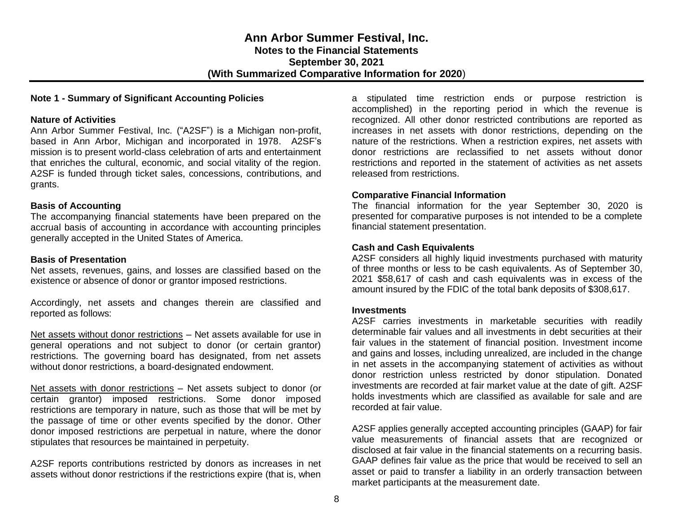#### **Note 1 - Summary of Significant Accounting Policies**

#### **Nature of Activities**

Ann Arbor Summer Festival, Inc. ("A2SF") is a Michigan non-profit, based in Ann Arbor, Michigan and incorporated in 1978. A2SF's mission is to present world-class celebration of arts and entertainment that enriches the cultural, economic, and social vitality of the region. A2SF is funded through ticket sales, concessions, contributions, and grants.

#### **Basis of Accounting**

The accompanying financial statements have been prepared on the accrual basis of accounting in accordance with accounting principles generally accepted in the United States of America.

#### **Basis of Presentation**

Net assets, revenues, gains, and losses are classified based on the existence or absence of donor or grantor imposed restrictions.

Accordingly, net assets and changes therein are classified and reported as follows:

Net assets without donor restrictions – Net assets available for use in general operations and not subject to donor (or certain grantor) restrictions. The governing board has designated, from net assets without donor restrictions, a board-designated endowment.

Net assets with donor restrictions – Net assets subject to donor (or certain grantor) imposed restrictions. Some donor imposed restrictions are temporary in nature, such as those that will be met by the passage of time or other events specified by the donor. Other donor imposed restrictions are perpetual in nature, where the donor stipulates that resources be maintained in perpetuity.

A2SF reports contributions restricted by donors as increases in net assets without donor restrictions if the restrictions expire (that is, when

a stipulated time restriction ends or purpose restriction is accomplished) in the reporting period in which the revenue is recognized. All other donor restricted contributions are reported as increases in net assets with donor restrictions, depending on the nature of the restrictions. When a restriction expires, net assets with donor restrictions are reclassified to net assets without donor restrictions and reported in the statement of activities as net assets released from restrictions.

#### **Comparative Financial Information**

The financial information for the year September 30, 2020 is presented for comparative purposes is not intended to be a complete financial statement presentation.

#### **Cash and Cash Equivalents**

A2SF considers all highly liquid investments purchased with maturity of three months or less to be cash equivalents. As of September 30, 2021 \$58,617 of cash and cash equivalents was in excess of the amount insured by the FDIC of the total bank deposits of \$308,617.

#### **Investments**

A2SF carries investments in marketable securities with readily determinable fair values and all investments in debt securities at their fair values in the statement of financial position. Investment income and gains and losses, including unrealized, are included in the change in net assets in the accompanying statement of activities as without donor restriction unless restricted by donor stipulation. Donated investments are recorded at fair market value at the date of gift. A2SF holds investments which are classified as available for sale and are recorded at fair value.

A2SF applies generally accepted accounting principles (GAAP) for fair value measurements of financial assets that are recognized or disclosed at fair value in the financial statements on a recurring basis. GAAP defines fair value as the price that would be received to sell an asset or paid to transfer a liability in an orderly transaction between market participants at the measurement date.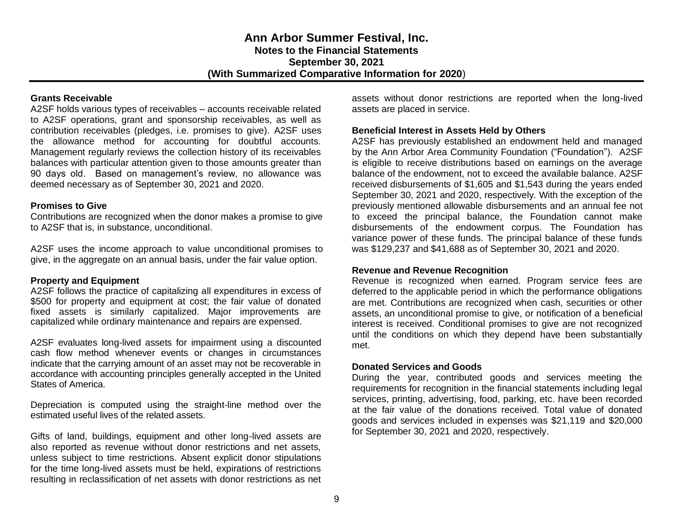#### **Grants Receivable**

A2SF holds various types of receivables – accounts receivable related to A2SF operations, grant and sponsorship receivables, as well as contribution receivables (pledges, i.e. promises to give). A2SF uses the allowance method for accounting for doubtful accounts. Management regularly reviews the collection history of its receivables balances with particular attention given to those amounts greater than 90 days old. Based on management's review, no allowance was deemed necessary as of September 30, 2021 and 2020.

#### **Promises to Give**

Contributions are recognized when the donor makes a promise to give to A2SF that is, in substance, unconditional.

A2SF uses the income approach to value unconditional promises to give, in the aggregate on an annual basis, under the fair value option.

#### **Property and Equipment**

A2SF follows the practice of capitalizing all expenditures in excess of \$500 for property and equipment at cost; the fair value of donated fixed assets is similarly capitalized. Major improvements are capitalized while ordinary maintenance and repairs are expensed.

A2SF evaluates long-lived assets for impairment using a discounted cash flow method whenever events or changes in circumstances indicate that the carrying amount of an asset may not be recoverable in accordance with accounting principles generally accepted in the United States of America.

Depreciation is computed using the straight-line method over the estimated useful lives of the related assets.

Gifts of land, buildings, equipment and other long-lived assets are also reported as revenue without donor restrictions and net assets, unless subject to time restrictions. Absent explicit donor stipulations for the time long-lived assets must be held, expirations of restrictions resulting in reclassification of net assets with donor restrictions as net assets without donor restrictions are reported when the long-lived assets are placed in service.

#### **Beneficial Interest in Assets Held by Others**

A2SF has previously established an endowment held and managed by the Ann Arbor Area Community Foundation ("Foundation"). A2SF is eligible to receive distributions based on earnings on the average balance of the endowment, not to exceed the available balance. A2SF received disbursements of \$1,605 and \$1,543 during the years ended September 30, 2021 and 2020, respectively. With the exception of the previously mentioned allowable disbursements and an annual fee not to exceed the principal balance, the Foundation cannot make disbursements of the endowment corpus. The Foundation has variance power of these funds. The principal balance of these funds was \$129,237 and \$41,688 as of September 30, 2021 and 2020.

#### **Revenue and Revenue Recognition**

Revenue is recognized when earned. Program service fees are deferred to the applicable period in which the performance obligations are met. Contributions are recognized when cash, securities or other assets, an unconditional promise to give, or notification of a beneficial interest is received. Conditional promises to give are not recognized until the conditions on which they depend have been substantially met.

#### **Donated Services and Goods**

During the year, contributed goods and services meeting the requirements for recognition in the financial statements including legal services, printing, advertising, food, parking, etc. have been recorded at the fair value of the donations received. Total value of donated goods and services included in expenses was \$21,119 and \$20,000 for September 30, 2021 and 2020, respectively.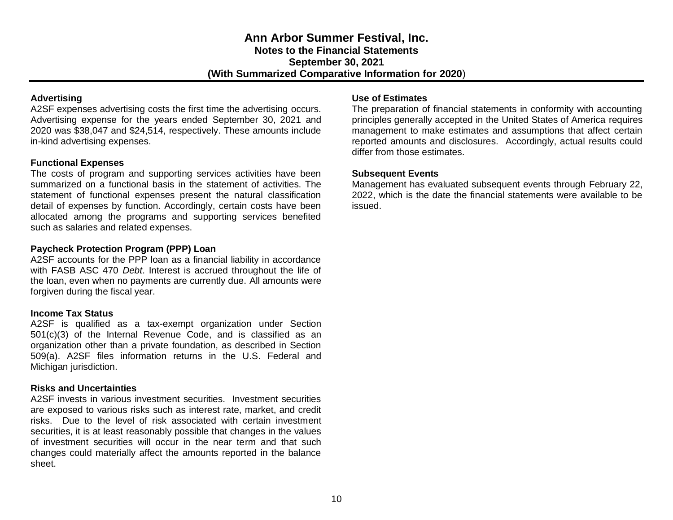#### **Advertising**

A2SF expenses advertising costs the first time the advertising occurs. Advertising expense for the years ended September 30, 2021 and 2020 was \$38,047 and \$24,514, respectively. These amounts include in-kind advertising expenses.

#### **Functional Expenses**

The costs of program and supporting services activities have been summarized on a functional basis in the statement of activities. The statement of functional expenses present the natural classification detail of expenses by function. Accordingly, certain costs have been allocated among the programs and supporting services benefited such as salaries and related expenses.

#### **Paycheck Protection Program (PPP) Loan**

A2SF accounts for the PPP loan as a financial liability in accordance with FASB ASC 470 *Debt*. Interest is accrued throughout the life of the loan, even when no payments are currently due. All amounts were forgiven during the fiscal year.

#### **Income Tax Status**

A2SF is qualified as a tax-exempt organization under Section 501(c)(3) of the Internal Revenue Code, and is classified as an organization other than a private foundation, as described in Section 509(a). A2SF files information returns in the U.S. Federal and Michigan jurisdiction.

#### **Risks and Uncertainties**

A2SF invests in various investment securities. Investment securities are exposed to various risks such as interest rate, market, and credit risks. Due to the level of risk associated with certain investment securities, it is at least reasonably possible that changes in the values of investment securities will occur in the near term and that such changes could materially affect the amounts reported in the balance sheet.

#### **Use of Estimates**

The preparation of financial statements in conformity with accounting principles generally accepted in the United States of America requires management to make estimates and assumptions that affect certain reported amounts and disclosures. Accordingly, actual results could differ from those estimates.

#### **Subsequent Events**

Management has evaluated subsequent events through February 22, 2022, which is the date the financial statements were available to be issued.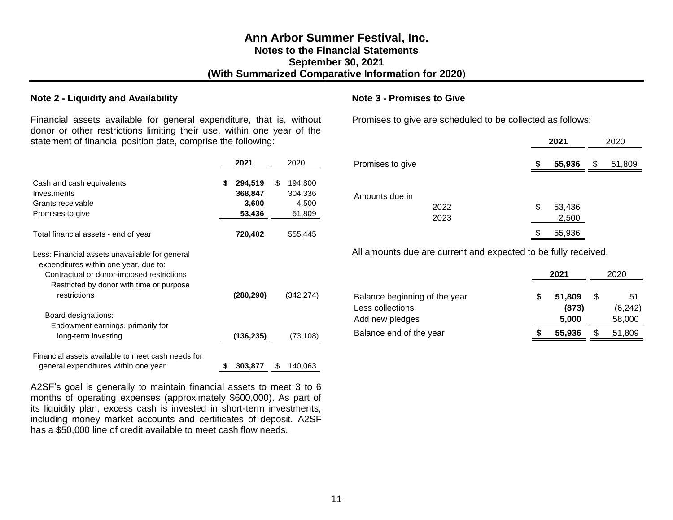#### **Note 2 - Liquidity and Availability**

Financial assets available for general expenditure, that is, without donor or other restrictions limiting their use, within one year of the statement of financial position date, comprise the following:

|                                                                                                                                                                                                  |    | 2021                                  | 2020                                        |
|--------------------------------------------------------------------------------------------------------------------------------------------------------------------------------------------------|----|---------------------------------------|---------------------------------------------|
| Cash and cash equivalents<br>Investments<br>Grants receivable<br>Promises to give                                                                                                                | S  | 294,519<br>368,847<br>3,600<br>53,436 | \$<br>194,800<br>304,336<br>4,500<br>51,809 |
| Total financial assets - end of year                                                                                                                                                             |    | 720,402                               | 555,445                                     |
| Less: Financial assets unavailable for general<br>expenditures within one year, due to:<br>Contractual or donor-imposed restrictions<br>Restricted by donor with time or purpose<br>restrictions |    | (280, 290)                            | (342, 274)                                  |
| Board designations:<br>Endowment earnings, primarily for<br>long-term investing                                                                                                                  |    | (136, 235)                            | (73,108)                                    |
| Financial assets available to meet cash needs for<br>general expenditures within one year                                                                                                        | \$ | 303,877                               | \$<br>140,063                               |

A2SF's goal is generally to maintain financial assets to meet 3 to 6 months of operating expenses (approximately \$600,000). As part of its liquidity plan, excess cash is invested in short-term investments, including money market accounts and certificates of deposit. A2SF has a \$50,000 line of credit available to meet cash flow needs.

#### **Note 3 - Promises to Give**

Promises to give are scheduled to be collected as follows:

|                  |    | 2021   | 2020 |        |  |
|------------------|----|--------|------|--------|--|
| Promises to give | S  | 55,936 | \$   | 51,809 |  |
|                  |    |        |      |        |  |
| Amounts due in   |    |        |      |        |  |
| 2022             | \$ | 53,436 |      |        |  |
| 2023             |    | 2,500  |      |        |  |
|                  | \$ | 55,936 |      |        |  |

All amounts due are current and expected to be fully received.

|                               | 2021 |        |   | 2020     |  |  |
|-------------------------------|------|--------|---|----------|--|--|
| Balance beginning of the year |      | 51.809 | S | 51       |  |  |
| Less collections              |      | (873)  |   | (6, 242) |  |  |
| Add new pledges               |      | 5,000  |   | 58,000   |  |  |
| Balance end of the year       | S    | 55.936 |   | 51,809   |  |  |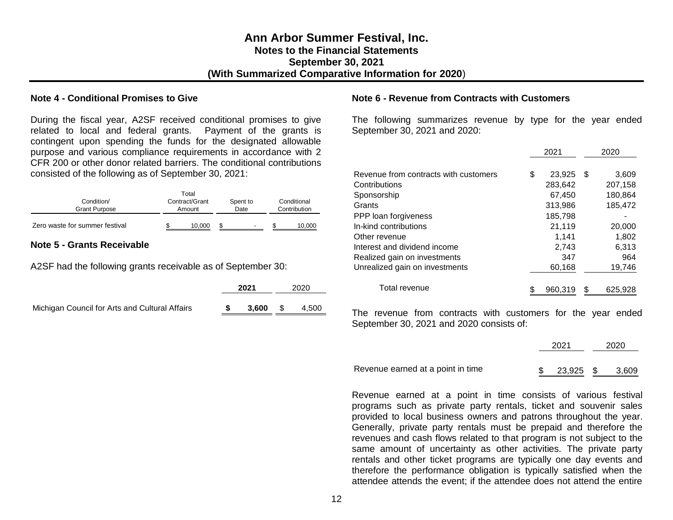#### **Note 4 - Conditional Promises to Give**

During the fiscal year, A2SF received conditional promises to give related to local and federal grants. Payment of the grants is contingent upon spending the funds for the designated allowable purpose and various compliance requirements in accordance with 2 CFR 200 or other donor related barriers. The conditional contributions consisted of the following as of September 30, 2021:

| Condition/<br><b>Grant Purpose</b> | Total<br>Contract/Grant<br>Amount |        | Spent to<br>Date | Conditional<br>Contribution |        |
|------------------------------------|-----------------------------------|--------|------------------|-----------------------------|--------|
| Zero waste for summer festival     |                                   | 10.000 |                  | -                           | 10.000 |

#### **Note 5 - Grants Receivable**

A2SF had the following grants receivable as of September 30:

|                                                | 2021  | 2020 |       |  |
|------------------------------------------------|-------|------|-------|--|
| Michigan Council for Arts and Cultural Affairs | 3.600 | S    | 4.500 |  |

#### **Note 6 - Revenue from Contracts with Customers**

The following summarizes revenue by type for the year ended September 30, 2021 and 2020:

|                                       | 2021 |         |   | 2020    |
|---------------------------------------|------|---------|---|---------|
| Revenue from contracts with customers | S    | 23,925  | S | 3,609   |
| Contributions                         |      | 283,642 |   | 207,158 |
| Sponsorship                           |      | 67,450  |   | 180,864 |
| Grants                                |      | 313,986 |   | 185,472 |
| PPP loan forgiveness                  |      | 185,798 |   |         |
| In-kind contributions                 |      | 21,119  |   | 20,000  |
| Other revenue                         |      | 1,141   |   | 1,802   |
| Interest and dividend income          |      | 2,743   |   | 6,313   |
| Realized gain on investments          |      | 347     |   | 964     |
| Unrealized gain on investments        |      | 60,168  |   | 19,746  |
| Total revenue                         |      | 960,319 | S | 625,928 |

The revenue from contracts with customers for the year ended September 30, 2021 and 2020 consists of:

|                                   | 2021 |           |  | 2020  |  |  |
|-----------------------------------|------|-----------|--|-------|--|--|
| Revenue earned at a point in time |      | 23,925 \$ |  | 3.609 |  |  |

Revenue earned at a point in time consists of various festival programs such as private party rentals, ticket and souvenir sales provided to local business owners and patrons throughout the year. Generally, private party rentals must be prepaid and therefore the revenues and cash flows related to that program is not subject to the same amount of uncertainty as other activities. The private party rentals and other ticket programs are typically one day events and therefore the performance obligation is typically satisfied when the attendee attends the event; if the attendee does not attend the entire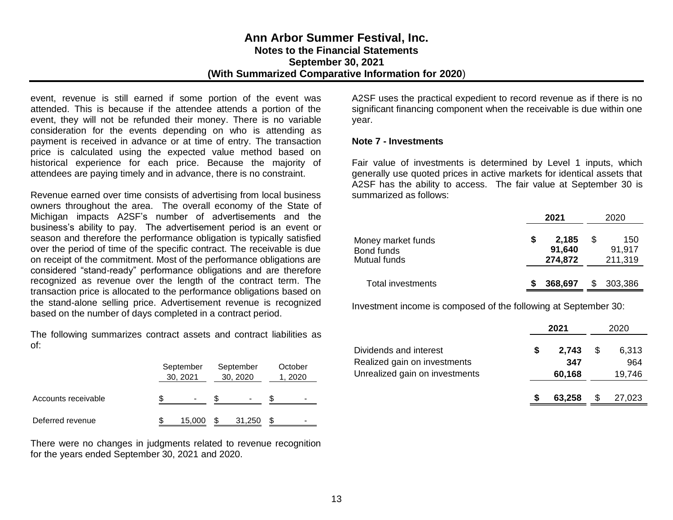event, revenue is still earned if some portion of the event was attended. This is because if the attendee attends a portion of the event, they will not be refunded their money. There is no variable consideration for the events depending on who is attending as payment is received in advance or at time of entry. The transaction price is calculated using the expected value method based on historical experience for each price. Because the majority of attendees are paying timely and in advance, there is no constraint.

Revenue earned over time consists of advertising from local business owners throughout the area. The overall economy of the State of Michigan impacts A2SF's number of advertisements and the business's ability to pay. The advertisement period is an event or season and therefore the performance obligation is typically satisfied over the period of time of the specific contract. The receivable is due on receipt of the commitment. Most of the performance obligations are considered "stand-ready" performance obligations and are therefore recognized as revenue over the length of the contract term. The transaction price is allocated to the performance obligations based on the stand-alone selling price. Advertisement revenue is recognized based on the number of days completed in a contract period.

The following summarizes contract assets and contract liabilities as of:

|                     | September<br>30, 2021 |                | September<br>30, 2020 |                 | October<br>. 2020 |   |
|---------------------|-----------------------|----------------|-----------------------|-----------------|-------------------|---|
| Accounts receivable |                       | $\blacksquare$ |                       | $\qquad \qquad$ |                   | - |
| Deferred revenue    |                       | 15,000         |                       | 31,250          |                   |   |

There were no changes in judgments related to revenue recognition for the years ended September 30, 2021 and 2020.

A2SF uses the practical expedient to record revenue as if there is no significant financing component when the receivable is due within one year.

#### **Note 7 - Investments**

Fair value of investments is determined by Level 1 inputs, which generally use quoted prices in active markets for identical assets that A2SF has the ability to access. The fair value at September 30 is summarized as follows:

|                                                  | 2021 |                            | 2020 |                          |  |
|--------------------------------------------------|------|----------------------------|------|--------------------------|--|
| Money market funds<br>Bond funds<br>Mutual funds | 5    | 2,185<br>91,640<br>274,872 | S    | 150<br>91,917<br>211,319 |  |
| Total investments                                |      | 368,697                    |      | 303,386                  |  |

Investment income is composed of the following at September 30:

|                                                                                          |   | 2021                   | 2020 |                        |
|------------------------------------------------------------------------------------------|---|------------------------|------|------------------------|
| Dividends and interest<br>Realized gain on investments<br>Unrealized gain on investments | S | 2.743<br>347<br>60,168 | S    | 6,313<br>964<br>19,746 |
|                                                                                          | S | 63,258                 |      | 27,023                 |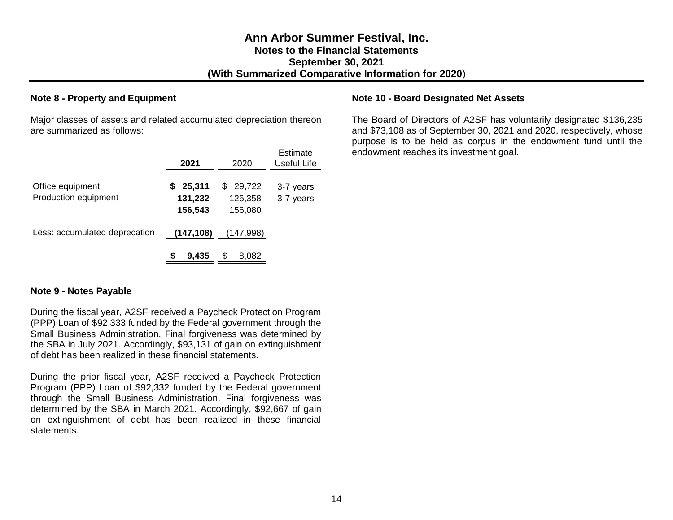#### **Note 8 - Property and Equipment**

Major classes of assets and related accumulated depreciation thereon are summarized as follows:

|                               | 2021        | 2020        | Estimate<br>Useful Life |
|-------------------------------|-------------|-------------|-------------------------|
| Office equipment              | 25,311<br>S | 29,722<br>S | 3-7 years               |
| Production equipment          | 131,232     | 126,358     | 3-7 years               |
|                               | 156,543     | 156,080     |                         |
| Less: accumulated deprecation | (147, 108)  | (147,998)   |                         |
|                               | 9,435       | S<br>8,082  |                         |

#### **Note 9 - Notes Payable**

During the fiscal year, A2SF received a Paycheck Protection Program (PPP) Loan of \$92,333 funded by the Federal government through the Small Business Administration. Final forgiveness was determined by the SBA in July 2021. Accordingly, \$93,131 of gain on extinguishment of debt has been realized in these financial statements.

During the prior fiscal year, A2SF received a Paycheck Protection Program (PPP) Loan of \$92,332 funded by the Federal government through the Small Business Administration. Final forgiveness was determined by the SBA in March 2021. Accordingly, \$92,667 of gain on extinguishment of debt has been realized in these financial statements.

#### **Note 10 - Board Designated Net Assets**

The Board of Directors of A2SF has voluntarily designated \$136,235 and \$73,108 as of September 30, 2021 and 2020, respectively, whose purpose is to be held as corpus in the endowment fund until the endowment reaches its investment goal.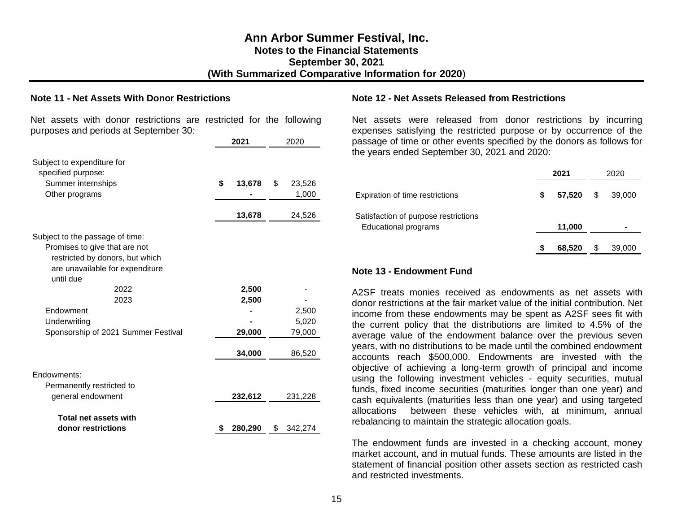#### **Note 11 - Net Assets With Donor Restrictions**

Net assets with donor restrictions are restricted for the following purposes and periods at September 30:

|                                                                                                                                                                                                                                         | 2021                               | 2020                               |
|-----------------------------------------------------------------------------------------------------------------------------------------------------------------------------------------------------------------------------------------|------------------------------------|------------------------------------|
| Subject to expenditure for<br>specified purpose:<br>Summer internships<br>Other programs                                                                                                                                                | \$<br>13,678                       | S<br>23,526<br>1,000               |
|                                                                                                                                                                                                                                         | 13,678                             | 24,526                             |
| Subject to the passage of time:<br>Promises to give that are not<br>restricted by donors, but which<br>are unavailable for expenditure<br>until due<br>2022<br>2023<br>Endowment<br>Underwriting<br>Sponsorship of 2021 Summer Festival | 2,500<br>2,500<br>29,000<br>34,000 | 2,500<br>5,020<br>79,000<br>86,520 |
| Endowments:                                                                                                                                                                                                                             |                                    |                                    |
| Permanently restricted to<br>general endowment                                                                                                                                                                                          | 232,612                            | 231,228                            |
| Total net assets with<br>donor restrictions                                                                                                                                                                                             | \$<br>280,290                      | \$<br>342,274                      |

#### **Note 12 - Net Assets Released from Restrictions**

Net assets were released from donor restrictions by incurring expenses satisfying the restricted purpose or by occurrence of the passage of time or other events specified by the donors as follows for the years ended September 30, 2021 and 2020:

|                                                              |   | 2021   |    | 2020   |
|--------------------------------------------------------------|---|--------|----|--------|
| Expiration of time restrictions                              | S | 57.520 | \$ | 39,000 |
| Satisfaction of purpose restrictions<br>Educational programs |   | 11,000 |    |        |
|                                                              | S | 68,520 | S  | 39,000 |

#### **Note 13 - Endowment Fund**

A2SF treats monies received as endowments as net assets with donor restrictions at the fair market value of the initial contribution. Net income from these endowments may be spent as A2SF sees fit with the current policy that the distributions are limited to 4.5% of the average value of the endowment balance over the previous seven years, with no distributions to be made until the combined endowment accounts reach \$500,000. Endowments are invested with the objective of achieving a long-term growth of principal and income using the following investment vehicles - equity securities, mutual funds, fixed income securities (maturities longer than one year) and cash equivalents (maturities less than one year) and using targeted allocations between these vehicles with, at minimum, annual rebalancing to maintain the strategic allocation goals.

The endowment funds are invested in a checking account, money market account, and in mutual funds. These amounts are listed in the statement of financial position other assets section as restricted cash and restricted investments.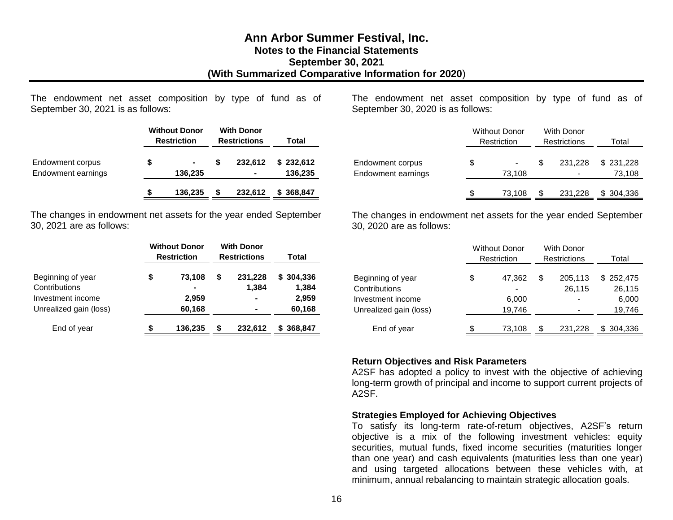The endowment net asset composition by type of fund as of September 30, 2021 is as follows:

|                                        |    | <b>Without Donor</b><br><b>Restriction</b> |   | <b>With Donor</b><br><b>Restrictions</b> | Total                |  |
|----------------------------------------|----|--------------------------------------------|---|------------------------------------------|----------------------|--|
| Endowment corpus<br>Endowment earnings | \$ | $\blacksquare$<br>136,235                  | S | 232.612<br>۰                             | \$232,612<br>136,235 |  |
|                                        | S  | 136,235                                    | S | 232.612                                  | \$368,847            |  |

The changes in endowment net assets for the year ended September 30, 2021 are as follows:

|                        |    | <b>Without Donor</b><br><b>Restriction</b> | <b>With Donor</b><br><b>Restrictions</b> |         | Total         |  |
|------------------------|----|--------------------------------------------|------------------------------------------|---------|---------------|--|
| Beginning of year      | \$ | 73.108                                     | \$                                       | 231,228 | \$304,336     |  |
| Contributions          |    | ۰                                          |                                          | 1,384   | 1,384         |  |
| Investment income      |    | 2,959                                      |                                          | -       | 2,959         |  |
| Unrealized gain (loss) |    | 60,168                                     |                                          |         | 60,168        |  |
| End of year            | S  | 136,235                                    | \$                                       | 232,612 | 368,847<br>S. |  |

The endowment net asset composition by type of fund as of September 30, 2020 is as follows:

|                                               |    | <b>Without Donor</b><br>Restriction |   | With Donor<br><b>Restrictions</b> | Total               |  |
|-----------------------------------------------|----|-------------------------------------|---|-----------------------------------|---------------------|--|
| Endowment corpus<br><b>Endowment earnings</b> | \$ | 73,108                              | S | 231.228                           | \$231,228<br>73,108 |  |
|                                               | S. | 73,108                              | S | 231,228                           | \$304,336           |  |

The changes in endowment net assets for the year ended September 30, 2020 are as follows:

|                                             | <b>Without Donor</b><br>Restriction |    | <b>With Donor</b><br><b>Restrictions</b> | Total               |
|---------------------------------------------|-------------------------------------|----|------------------------------------------|---------------------|
| Beginning of year<br>Contributions          | \$<br>47.362                        | \$ | 205,113<br>26,115                        | \$252,475<br>26,115 |
| Investment income<br>Unrealized gain (loss) | 6,000<br>19,746                     |    |                                          | 6,000<br>19,746     |
| End of year                                 | \$<br>73,108                        | \$ | 231,228                                  | \$304,336           |

#### **Return Objectives and Risk Parameters**

A2SF has adopted a policy to invest with the objective of achieving long-term growth of principal and income to support current projects of A2SF.

#### **Strategies Employed for Achieving Objectives**

To satisfy its long-term rate-of-return objectives, A2SF's return objective is a mix of the following investment vehicles: equity securities, mutual funds, fixed income securities (maturities longer than one year) and cash equivalents (maturities less than one year) and using targeted allocations between these vehicles with, at minimum, annual rebalancing to maintain strategic allocation goals.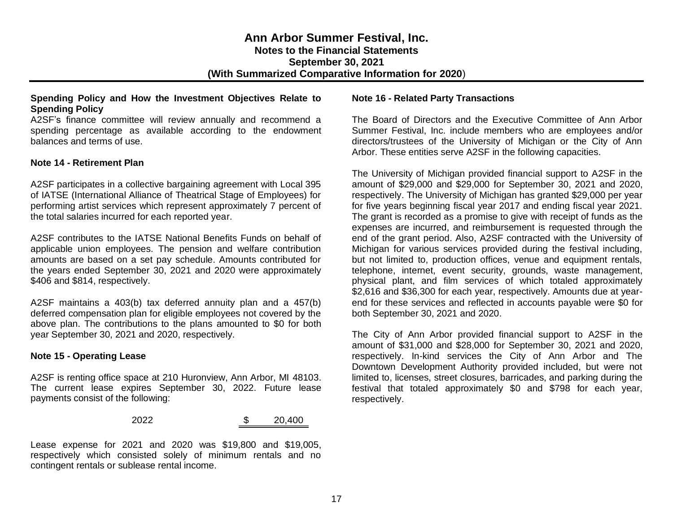#### **Spending Policy and How the Investment Objectives Relate to Spending Policy**

A2SF's finance committee will review annually and recommend a spending percentage as available according to the endowment balances and terms of use.

#### **Note 14 - Retirement Plan**

A2SF participates in a collective bargaining agreement with Local 395 of IATSE (International Alliance of Theatrical Stage of Employees) for performing artist services which represent approximately 7 percent of the total salaries incurred for each reported year.

A2SF contributes to the IATSE National Benefits Funds on behalf of applicable union employees. The pension and welfare contribution amounts are based on a set pay schedule. Amounts contributed for the years ended September 30, 2021 and 2020 were approximately \$406 and \$814, respectively.

A2SF maintains a 403(b) tax deferred annuity plan and a 457(b) deferred compensation plan for eligible employees not covered by the above plan. The contributions to the plans amounted to \$0 for both year September 30, 2021 and 2020, respectively.

#### **Note 15 - Operating Lease**

A2SF is renting office space at 210 Huronview, Ann Arbor, MI 48103. The current lease expires September 30, 2022. Future lease payments consist of the following:

2022 \$ 20,400

Lease expense for 2021 and 2020 was \$19,800 and \$19,005, respectively which consisted solely of minimum rentals and no contingent rentals or sublease rental income.

#### **Note 16 - Related Party Transactions**

The Board of Directors and the Executive Committee of Ann Arbor Summer Festival, Inc. include members who are employees and/or directors/trustees of the University of Michigan or the City of Ann Arbor. These entities serve A2SF in the following capacities.

The University of Michigan provided financial support to A2SF in the amount of \$29,000 and \$29,000 for September 30, 2021 and 2020, respectively. The University of Michigan has granted \$29,000 per year for five years beginning fiscal year 2017 and ending fiscal year 2021. The grant is recorded as a promise to give with receipt of funds as the expenses are incurred, and reimbursement is requested through the end of the grant period. Also, A2SF contracted with the University of Michigan for various services provided during the festival including, but not limited to, production offices, venue and equipment rentals, telephone, internet, event security, grounds, waste management, physical plant, and film services of which totaled approximately \$2,616 and \$36,300 for each year, respectively. Amounts due at yearend for these services and reflected in accounts payable were \$0 for both September 30, 2021 and 2020.

The City of Ann Arbor provided financial support to A2SF in the amount of \$31,000 and \$28,000 for September 30, 2021 and 2020, respectively. In-kind services the City of Ann Arbor and The Downtown Development Authority provided included, but were not limited to, licenses, street closures, barricades, and parking during the festival that totaled approximately \$0 and \$798 for each year, respectively.